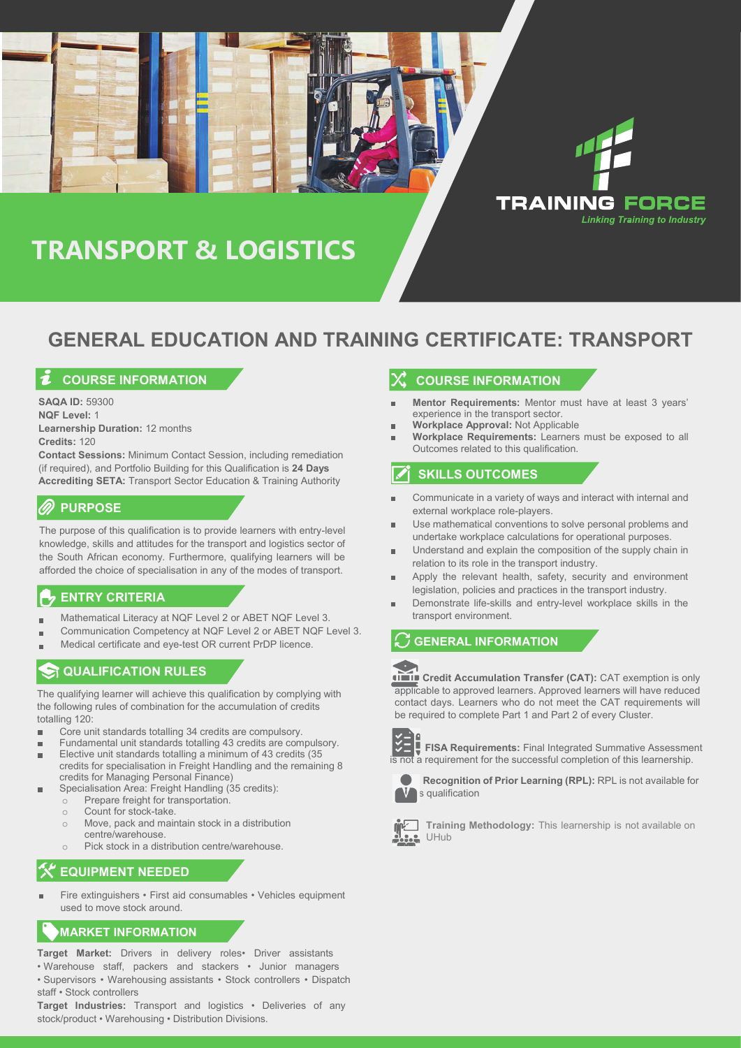# **TRANSPORT & LOGISTICS**

### **GENERAL EDUCATION AND TRAINING CERTIFICATE: TRANSPORT**

#### **COURSE INFORMATION**

**SAQA ID:** 59300 **NQF Level:** 1 **Learnership Duration:** 12 months **Credits:** 120

**Contact Sessions:** Minimum Contact Session, including remediation (if required), and Portfolio Building for this Qualification is **24 Days Accrediting SETA:** Transport Sector Education & Training Authority

#### **PURPOSE**

The purpose of this qualification is to provide learners with entry-level knowledge, skills and attitudes for the transport and logistics sector of the South African economy. Furthermore, qualifying learners will be afforded the choice of specialisation in any of the modes of transport.

#### **ENTRY CRITERIA**

- Mathematical Literacy at NQF Level 2 or ABET NQF Level 3. Ē.
- Communication Competency at NQF Level 2 or ABET NQF Level 3. Ē.
- Medical certificate and eye-test OR current PrDP licence.

### **ST QUALIFICATION RULES**

The qualifying learner will achieve this qualification by complying with the following rules of combination for the accumulation of credits totalling 120:

- Core unit standards totalling 34 credits are compulsory. ×
- Fundamental unit standards totalling 43 credits are compulsory.
- Elective unit standards totalling a minimum of 43 credits (35 credits for specialisation in Freight Handling and the remaining 8 credits for Managing Personal Finance)
- Specialisation Area: Freight Handling (35 credits):
	- $\circ$  Prepare freight for transportation.
	- o Count for stock-take.<br>○ Move, pack and mair
	- Move, pack and maintain stock in a distribution centre/warehouse.
	- o Pick stock in a distribution centre/warehouse.

#### **EQUIPMENT NEEDED**

Fire extinguishers • First aid consumables • Vehicles equipment used to move stock around.

#### **MARKET INFORMATION**

- **Target Market:** Drivers in delivery roles• Driver assistants
- Warehouse staff, packers and stackers Junior managers
- Supervisors Warehousing assistants Stock controllers Dispatch staff • Stock controllers

**Target Industries:** Transport and logistics • Deliveries of any stock/product • Warehousing • Distribution Divisions.

#### **COURSE INFORMATION**

**Mentor Requirements:** Mentor must have at least 3 years' experience in the transport sector.

**TRAINING FORCE** 

**Linking Training to Industry** 

- **Workplace Approval:** Not Applicable
- **Workplace Requirements:** Learners must be exposed to all Outcomes related to this qualification.

#### **SKILLS OUTCOMES**

- Communicate in a variety of ways and interact with internal and r. external workplace role-players.
- Use mathematical conventions to solve personal problems and r. undertake workplace calculations for operational purposes.
- Understand and explain the composition of the supply chain in ×. relation to its role in the transport industry.
- Apply the relevant health, safety, security and environment legislation, policies and practices in the transport industry.
- Demonstrate life-skills and entry-level workplace skills in the transport environment.

#### **GENERAL INFORMATION**



**Credit Accumulation Transfer (CAT):** CAT exemption is only applicable to approved learners. Approved learners will have reduced contact days. Learners who do not meet the CAT requirements will be required to complete Part 1 and Part 2 of every Cluster.



**FISA Requirements: Final Integrated Summative Assessment** is not a requirement for the successful completion of this learnership.



**Recognition of Prior Learning (RPL):** RPL is not available for s qualification



**Training Methodology:** This learnership is not available on UHub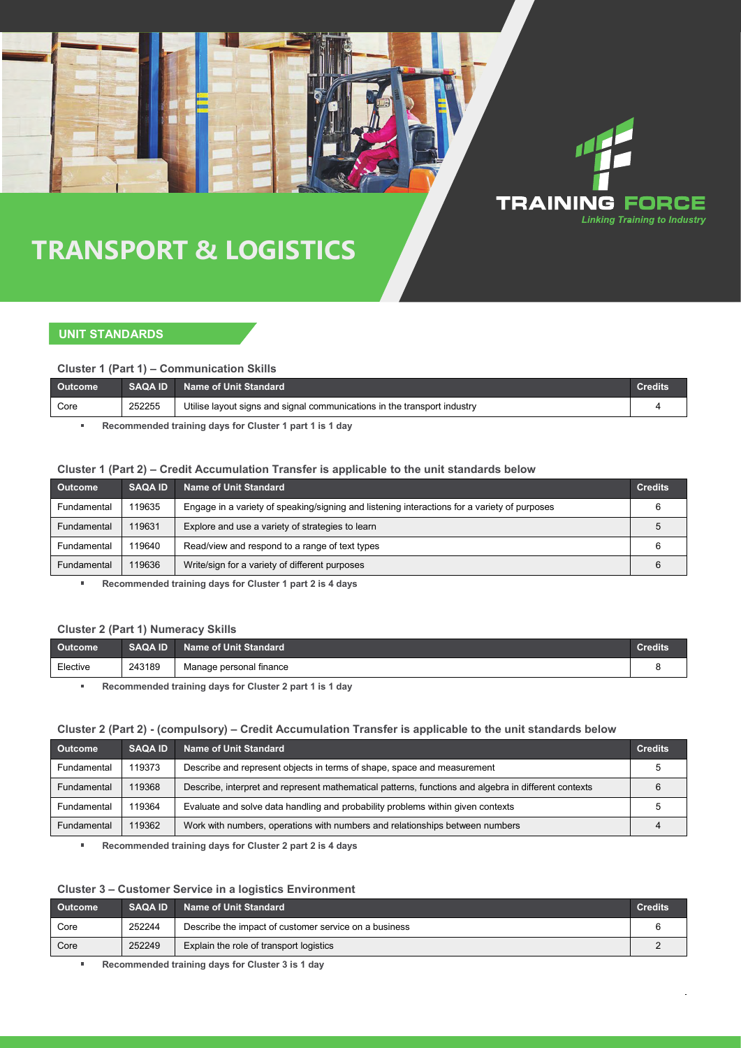## **TRANSPORT & LOGISTICS**

#### **UNIT STANDARDS**

**Cluster 1 (Part 1) – Communication Skills**

| <b>Outcome</b> | <b>SAQA ID</b> | <b>Name of Unit Standard</b>                                             | <b>Credits</b> |
|----------------|----------------|--------------------------------------------------------------------------|----------------|
| Core           | 252255         | Utilise layout signs and signal communications in the transport industry |                |

**TRAINING FORCE** 

**Linking Training to Industry** 

**Recommended training days for Cluster 1 part 1 is 1 day**  $\bar{a}$ 

#### **Cluster 1 (Part 2) – Credit Accumulation Transfer is applicable to the unit standards below**

| <b>Outcome</b> | <b>SAQA ID</b> | <b>Name of Unit Standard</b>                                                                 | <b>Credits</b> |
|----------------|----------------|----------------------------------------------------------------------------------------------|----------------|
| Fundamental    | 119635         | Engage in a variety of speaking/signing and listening interactions for a variety of purposes |                |
| Fundamental    | 119631         | Explore and use a variety of strategies to learn                                             |                |
| Fundamental    | 119640         | Read/view and respond to a range of text types                                               |                |
| Fundamental    | 119636         | Write/sign for a variety of different purposes                                               | 6              |

**Recommended training days for Cluster 1 part 2 is 4 days**

#### **Cluster 2 (Part 1) Numeracy Skills**

| <b>Outcome</b> | <b>SAQA ID</b> | <b>Name of Unit Standard</b> | <b>Credits</b> |
|----------------|----------------|------------------------------|----------------|
| Elective       | 243189         | Manage personal finance      |                |

 $\blacksquare$ **Recommended training days for Cluster 2 part 1 is 1 day**

#### **Cluster 2 (Part 2) - (compulsory) – Credit Accumulation Transfer is applicable to the unit standards below**

| <b>Outcome</b> | <b>SAQA ID</b> | Name of Unit Standard                                                                                | <b>Credits</b> |
|----------------|----------------|------------------------------------------------------------------------------------------------------|----------------|
| Fundamental    | 119373         | Describe and represent objects in terms of shape, space and measurement                              |                |
| Fundamental    | 119368         | Describe, interpret and represent mathematical patterns, functions and algebra in different contexts |                |
| Fundamental    | 119364         | Evaluate and solve data handling and probability problems within given contexts                      |                |
| Fundamental    | 119362         | Work with numbers, operations with numbers and relationships between numbers                         |                |

**Recommended training days for Cluster 2 part 2 is 4 days**

#### **Cluster 3 – Customer Service in a logistics Environment**

| Outcome | <b>SAQA ID</b> | Name of Unit Standard                                 | <b>Credits</b> |
|---------|----------------|-------------------------------------------------------|----------------|
| Core    | 252244         | Describe the impact of customer service on a business |                |
| Core    | 252249         | Explain the role of transport logistics               |                |
|         |                |                                                       |                |

**Recommended training days for Cluster 3 is 1 day**